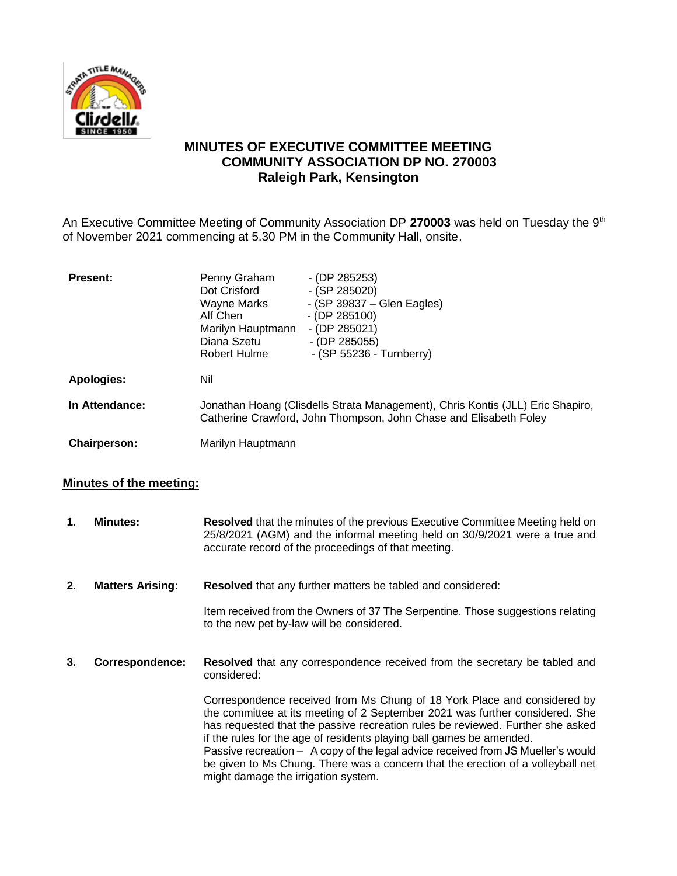

## **MINUTES OF EXECUTIVE COMMITTEE MEETING COMMUNITY ASSOCIATION DP NO. 270003 Raleigh Park, Kensington**

An Executive Committee Meeting of Community Association DP 270003 was held on Tuesday the 9<sup>th</sup> of November 2021 commencing at 5.30 PM in the Community Hall, onsite.

| <b>Present:</b>   | Penny Graham<br>Dot Crisford<br>Wayne Marks<br>Alf Chen<br>Marilyn Hauptmann<br>Diana Szetu                                                         | $-$ (DP 285253)<br>$-$ (SP 285020)<br>$-$ (SP 39837 – Glen Eagles)<br>$-$ (DP 285100)<br>$-$ (DP 285021)<br>$-$ (DP 285055) |
|-------------------|-----------------------------------------------------------------------------------------------------------------------------------------------------|-----------------------------------------------------------------------------------------------------------------------------|
|                   | Robert Hulme                                                                                                                                        | $-$ (SP 55236 - Turnberry)                                                                                                  |
| <b>Apologies:</b> | Nil                                                                                                                                                 |                                                                                                                             |
| In Attendance:    | Jonathan Hoang (Clisdells Strata Management), Chris Kontis (JLL) Eric Shapiro,<br>Catherine Crawford, John Thompson, John Chase and Elisabeth Foley |                                                                                                                             |
| Chairperson:      | Marilyn Hauptmann                                                                                                                                   |                                                                                                                             |

## **Minutes of the meeting:**

**1. Minutes: Resolved** that the minutes of the previous Executive Committee Meeting held on 25/8/2021 (AGM) and the informal meeting held on 30/9/2021 were a true and accurate record of the proceedings of that meeting. **2. Matters Arising: Resolved** that any further matters be tabled and considered: Item received from the Owners of 37 The Serpentine. Those suggestions relating to the new pet by-law will be considered. **3. Correspondence: Resolved** that any correspondence received from the secretary be tabled and considered: Correspondence received from Ms Chung of 18 York Place and considered by the committee at its meeting of 2 September 2021 was further considered. She has requested that the passive recreation rules be reviewed. Further she asked if the rules for the age of residents playing ball games be amended. Passive recreation – A copy of the legal advice received from JS Mueller's would be given to Ms Chung. There was a concern that the erection of a volleyball net might damage the irrigation system.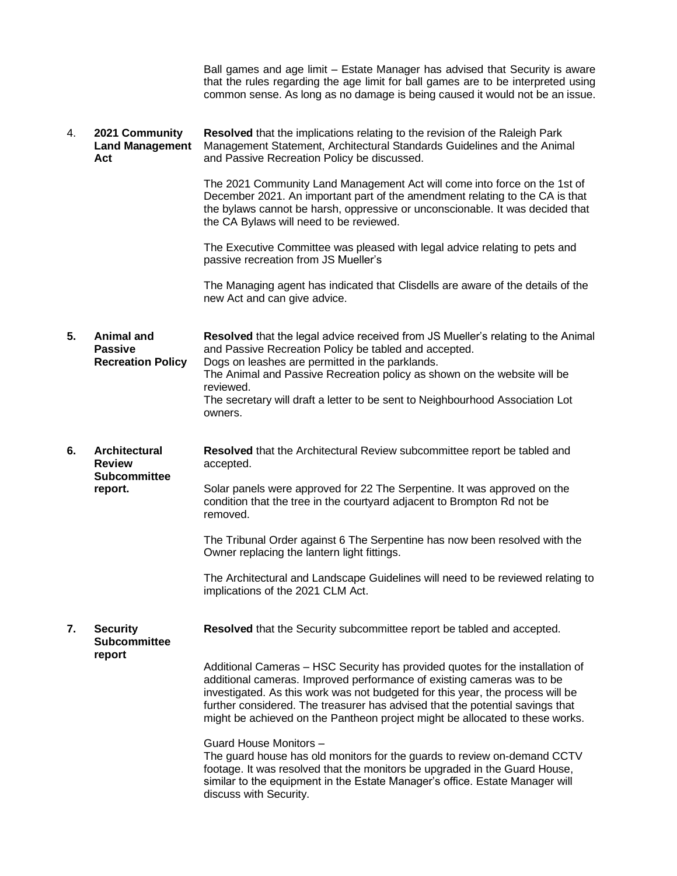Ball games and age limit – Estate Manager has advised that Security is aware that the rules regarding the age limit for ball games are to be interpreted using common sense. As long as no damage is being caused it would not be an issue.

4. **2021 Community Land Management Act Resolved** that the implications relating to the revision of the Raleigh Park Management Statement, Architectural Standards Guidelines and the Animal and Passive Recreation Policy be discussed.

> The 2021 Community Land Management Act will come into force on the 1st of December 2021. An important part of the amendment relating to the CA is that the bylaws cannot be harsh, oppressive or unconscionable. It was decided that the CA Bylaws will need to be reviewed.

The Executive Committee was pleased with legal advice relating to pets and passive recreation from JS Mueller's

The Managing agent has indicated that Clisdells are aware of the details of the new Act and can give advice.

- **5. Animal and Passive Recreation Policy Resolved** that the legal advice received from JS Mueller's relating to the Animal and Passive Recreation Policy be tabled and accepted. Dogs on leashes are permitted in the parklands. The Animal and Passive Recreation policy as shown on the website will be reviewed. The secretary will draft a letter to be sent to Neighbourhood Association Lot owners.
- **6. Architectural Review Subcommittee report. Resolved** that the Architectural Review subcommittee report be tabled and accepted. Solar panels were approved for 22 The Serpentine. It was approved on the condition that the tree in the courtyard adjacent to Brompton Rd not be

removed.

The Tribunal Order against 6 The Serpentine has now been resolved with the Owner replacing the lantern light fittings.

The Architectural and Landscape Guidelines will need to be reviewed relating to implications of the 2021 CLM Act.

**7. Security Subcommittee Resolved** that the Security subcommittee report be tabled and accepted.

**report**

Additional Cameras – HSC Security has provided quotes for the installation of additional cameras. Improved performance of existing cameras was to be investigated. As this work was not budgeted for this year, the process will be further considered. The treasurer has advised that the potential savings that might be achieved on the Pantheon project might be allocated to these works.

Guard House Monitors –

The guard house has old monitors for the guards to review on-demand CCTV footage. It was resolved that the monitors be upgraded in the Guard House, similar to the equipment in the Estate Manager's office. Estate Manager will discuss with Security.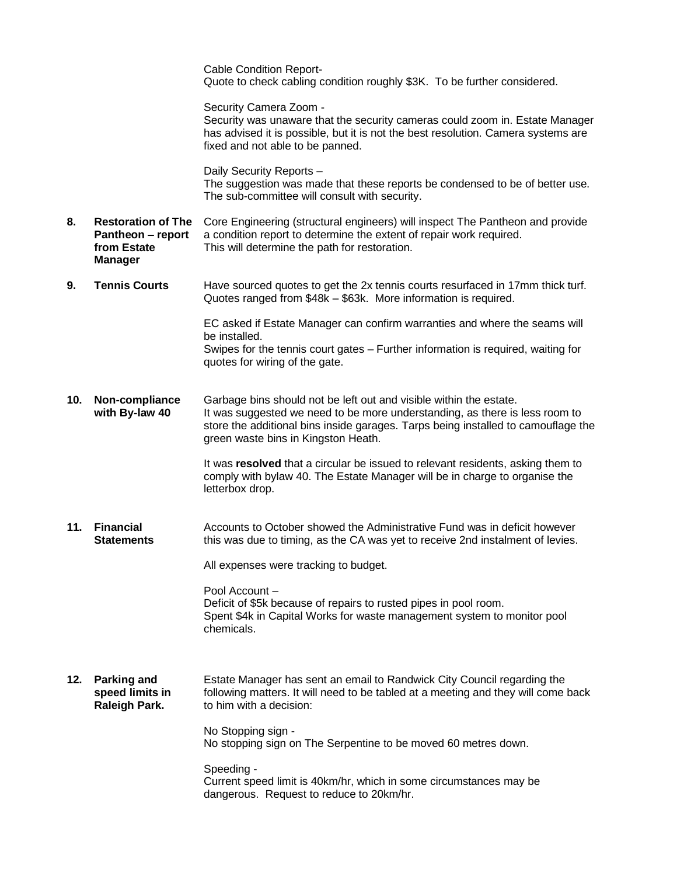|     |                                                                                 | <b>Cable Condition Report-</b><br>Quote to check cabling condition roughly \$3K. To be further considered.                                                                                                                                                                    |
|-----|---------------------------------------------------------------------------------|-------------------------------------------------------------------------------------------------------------------------------------------------------------------------------------------------------------------------------------------------------------------------------|
|     |                                                                                 | Security Camera Zoom -<br>Security was unaware that the security cameras could zoom in. Estate Manager<br>has advised it is possible, but it is not the best resolution. Camera systems are<br>fixed and not able to be panned.                                               |
|     |                                                                                 | Daily Security Reports -<br>The suggestion was made that these reports be condensed to be of better use.<br>The sub-committee will consult with security.                                                                                                                     |
| 8.  | <b>Restoration of The</b><br>Pantheon - report<br>from Estate<br><b>Manager</b> | Core Engineering (structural engineers) will inspect The Pantheon and provide<br>a condition report to determine the extent of repair work required.<br>This will determine the path for restoration.                                                                         |
| 9.  | <b>Tennis Courts</b>                                                            | Have sourced quotes to get the 2x tennis courts resurfaced in 17mm thick turf.<br>Quotes ranged from \$48k - \$63k. More information is required.                                                                                                                             |
|     |                                                                                 | EC asked if Estate Manager can confirm warranties and where the seams will<br>be installed.                                                                                                                                                                                   |
|     |                                                                                 | Swipes for the tennis court gates - Further information is required, waiting for<br>quotes for wiring of the gate.                                                                                                                                                            |
| 10. | Non-compliance<br>with By-law 40                                                | Garbage bins should not be left out and visible within the estate.<br>It was suggested we need to be more understanding, as there is less room to<br>store the additional bins inside garages. Tarps being installed to camouflage the<br>green waste bins in Kingston Heath. |
|     |                                                                                 | It was resolved that a circular be issued to relevant residents, asking them to<br>comply with bylaw 40. The Estate Manager will be in charge to organise the<br>letterbox drop.                                                                                              |
| 11. | <b>Financial</b><br><b>Statements</b>                                           | Accounts to October showed the Administrative Fund was in deficit however<br>this was due to timing, as the CA was yet to receive 2nd instalment of levies.                                                                                                                   |
|     |                                                                                 | All expenses were tracking to budget.                                                                                                                                                                                                                                         |
|     |                                                                                 | Pool Account -<br>Deficit of \$5k because of repairs to rusted pipes in pool room.<br>Spent \$4k in Capital Works for waste management system to monitor pool<br>chemicals.                                                                                                   |
| 12. | <b>Parking and</b><br>speed limits in<br><b>Raleigh Park.</b>                   | Estate Manager has sent an email to Randwick City Council regarding the<br>following matters. It will need to be tabled at a meeting and they will come back<br>to him with a decision:                                                                                       |
|     |                                                                                 | No Stopping sign -<br>No stopping sign on The Serpentine to be moved 60 metres down.                                                                                                                                                                                          |
|     |                                                                                 | Speeding -<br>Current speed limit is 40km/hr, which in some circumstances may be<br>dangerous. Request to reduce to 20km/hr.                                                                                                                                                  |